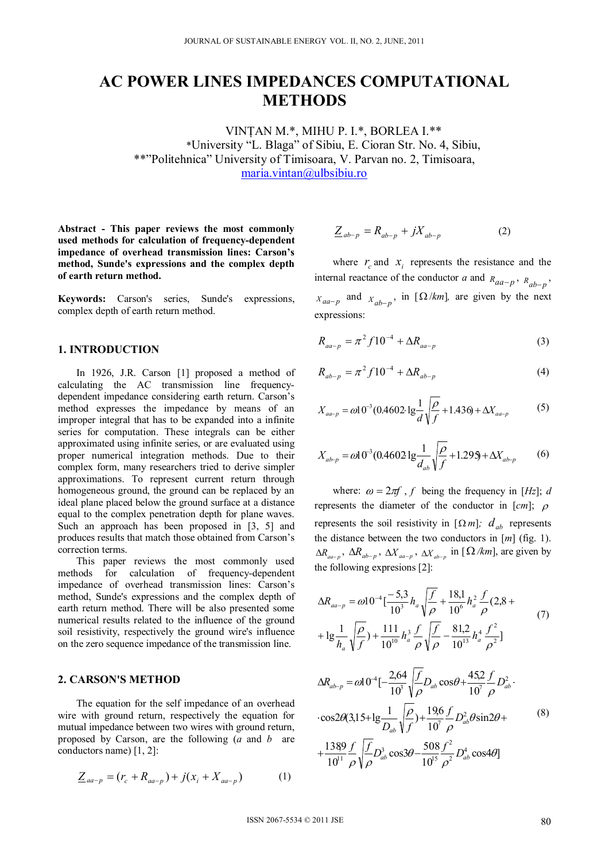# **AC POWER LINES IMPEDANCES COMPUTATIONAL METHODS**

VINŢAN M.\*, MIHU P. I.\*, BORLEA I.\*\* \*University "L. Blaga" of Sibiu, E. Cioran Str. No. 4, Sibiu, \*\*"Politehnica" University of Timisoara, V. Parvan no. 2, Timisoara, maria.vintan@ulbsibiu.ro

**Abstract - This paper reviews the most commonly used methods for calculation of frequency-dependent impedance of overhead transmission lines: Carson's method, Sunde's expressions and the complex depth of earth return method.** 

**Keywords:** Carson's series, Sunde's expressions, complex depth of earth return method.

## **1. INTRODUCTION**

In 1926, J.R. Carson [1] proposed a method of calculating the AC transmission line frequencydependent impedance considering earth return. Carson's method expresses the impedance by means of an improper integral that has to be expanded into a infinite series for computation. These integrals can be either approximated using infinite series, or are evaluated using proper numerical integration methods. Due to their complex form, many researchers tried to derive simpler approximations. To represent current return through homogeneous ground, the ground can be replaced by an ideal plane placed below the ground surface at a distance equal to the complex penetration depth for plane waves. Such an approach has been proposed in [3, 5] and produces results that match those obtained from Carson's correction terms.

This paper reviews the most commonly used methods for calculation of frequency-dependent impedance of overhead transmission lines: Carson's method, Sunde's expressions and the complex depth of earth return method. There will be also presented some numerical results related to the influence of the ground soil resistivity, respectively the ground wire's influence on the zero sequence impedance of the transmission line.

#### **2. CARSON'S METHOD**

The equation for the self impedance of an overhead wire with ground return, respectively the equation for mutual impedance between two wires with ground return, proposed by Carson, are the following (*a* and *b* are conductors name) [1, 2]:

$$
\underline{Z}_{aa-p} = (r_c + R_{aa-p}) + j(x_i + X_{aa-p})
$$
 (1)

$$
\underline{Z}_{ab-p} = R_{ab-p} + jX_{ab-p} \tag{2}
$$

where  $r_c$  and  $x_i$  represents the resistance and the internal reactance of the conductor *a* and  $R_{aa-p}$ ,  $R_{ab-p}$ ,  $X_{aa-p}$  and  $X_{ab-p}$ , in [ $\Omega/km$ ], are given by the next expressions:

$$
R_{aa-p} = \pi^2 f 10^{-4} + \Delta R_{aa-p}
$$
 (3)

$$
R_{ab-p} = \pi^2 f 10^{-4} + \Delta R_{ab-p}
$$
 (4)

$$
X_{aa-p} = \omega 10^{-3} (0.4602 \lg \frac{1}{d} \sqrt{\frac{\rho}{f}} + 1.436 + \Delta X_{aa-p}
$$
 (5)

$$
X_{ab-p} = \omega 10^{-3} (0.4602 \lg \frac{1}{d_{ab}} \sqrt{\frac{\rho}{f}} + 1.295 + \Delta X_{ab-p}
$$
 (6)

where:  $\omega = 2\pi f$ , *f* being the frequency in [*Hz*]; *d* represents the diameter of the conductor in  $[cm]$ ;  $\rho$ represents the soil resistivity in  $[\Omega m]$ ;  $d_{ab}$  represents the distance between the two conductors in [*m*] (fig. 1).  $\Delta R_{aa-p}$ ,  $\Delta R_{ab-p}$ ,  $\Delta X_{aa-p}$ ,  $\Delta X_{ab-p}$  in [ $\Omega/km$ ], are given by the following expresions [2]:

$$
\Delta R_{aa-p} = \omega 10^{-4} \left[ \frac{-5,3}{10^3} h_a \sqrt{\frac{f}{\rho}} + \frac{18,1}{10^6} h_a^2 \frac{f}{\rho} (2,8 + 1) \right]
$$
  
+ 
$$
1 g \frac{1}{h_a} \sqrt{\frac{\rho}{f}} + \frac{111}{10^{10}} h_a^3 \frac{f}{\rho} \sqrt{\frac{f}{\rho}} - \frac{81,2}{10^{13}} h_a^4 \frac{f^2}{\rho^2} \right]
$$
(7)

$$
\Delta R_{ab-p} = \omega 10^{-4} \left[ -\frac{2,64}{10^3} \sqrt{\frac{f}{\rho}} D_{ab} \cos \theta + \frac{45,2}{10^7} \frac{f}{\rho} D_{ab}^2 \right]
$$
  
. 
$$
\cos 2\theta (3,15 + 1g \frac{1}{D_{ab}} \sqrt{\frac{\rho}{f}}) + \frac{19,6}{10^7} \frac{f}{\rho} D_{ab}^2 \theta \sin 2\theta +
$$
  
. 
$$
+ \frac{1389}{10^{11}} \frac{f}{\rho} \sqrt{\frac{f}{\rho}} D_{ab}^3 \cos 3\theta - \frac{508}{10^{15}} \frac{f^2}{\rho^2} D_{ab}^4 \cos 4\theta
$$
 (8)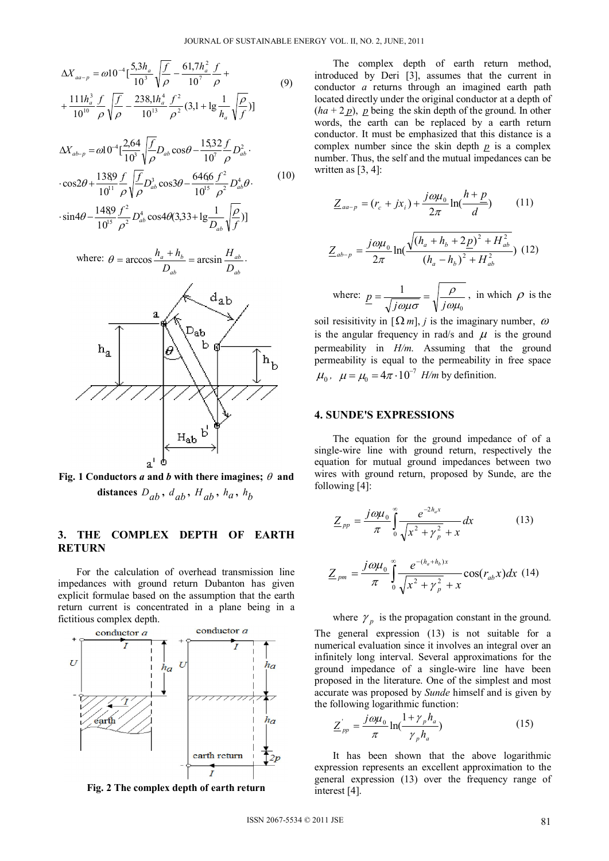$$
\Delta X_{aa-p} = \omega 10^{-4} \left[ \frac{5,3h_a}{10^3} \sqrt{\frac{f}{\rho}} - \frac{61,7h_a^2}{10^7} \frac{f}{\rho} + \frac{111h_a^3}{10^{10}} \frac{f}{\rho} \sqrt{\frac{f}{\rho}} - \frac{238,1h_a^4}{10^{13}} \frac{f^2}{\rho^2} (3,1 + \lg \frac{1}{h_a} \sqrt{\frac{\rho}{f}}) \right]
$$
(9)

$$
\Delta X_{ab-p} = \omega 10^{-4} \left[ \frac{2,64}{10^3} \sqrt{\frac{f}{\rho}} D_{ab} \cos \theta - \frac{15,32}{10^7} \frac{f}{\rho} D_{ab}^2 \right]
$$
  
. 
$$
\cos 2\theta + \frac{1389}{10^{11}} \frac{f}{\rho} \sqrt{\frac{f}{\rho}} D_{ab}^3 \cos 3\theta - \frac{6466}{10^{15}} \frac{f^2}{\rho^2} D_{ab}^4 \theta.
$$
 (10)

 $\sin 4\theta - \frac{1489}{10^{15}} \frac{f^2}{\rho^2} D_{ab}^4 \cos 4\theta (3,33+\lg \frac{1}{D_{ab}} \sqrt{\frac{\rho}{f}})]$ 2 2  $\frac{89}{4^{15}} \frac{f^2}{\rho^2} D_{ab}^4 \cos 4\theta (3,33 + \lg \frac{1}{D_{ab}} \sqrt{\frac{\rho}{f}})$ *ab*  $\rho$  $\cdot$ sin4 $\theta$  –  $\frac{1}{1.015}$  –  $\frac{1}{2}$   $D_{ab}^4$  cos4 $\theta$ (3,33+



Fig. 1 Conductors *a* and *b* with there imagines;  $\theta$  and distances  $D_{ab}$ ,  $d_{ab}$ ,  $H_{ab}$ ,  $h_a$ ,  $h_b$ 

# **3. THE COMPLEX DEPTH OF EARTH RETURN**

For the calculation of overhead transmission line impedances with ground return Dubanton has given explicit formulae based on the assumption that the earth return current is concentrated in a plane being in a fictitious complex depth.





The complex depth of earth return method, introduced by Deri [3], assumes that the current in conductor *a* returns through an imagined earth path located directly under the original conductor at a depth of  $(ha + 2p)$ , *p* being the skin depth of the ground. In other words, the earth can be replaced by a earth return conductor. It must be emphasized that this distance is a complex number since the skin depth *p* is a complex number. Thus, the self and the mutual impedances can be written as  $[3, 4]$ :

$$
\underline{Z}_{aa-p} = (r_c + jx_i) + \frac{j\omega\mu_0}{2\pi} \ln(\frac{h+p}{d}) \tag{11}
$$

$$
\underline{Z}_{ab-p} = \frac{j\omega\mu_0}{2\pi} \ln(\frac{\sqrt{(h_a + h_b + 2p)^2 + H_{ab}^2}}{(h_a - h_b)^2 + H_{ab}^2})
$$
(12)

where:  $\theta$ 1  $\omega\mu$  $\underline{p} = \frac{1}{\sqrt{j\omega\mu\sigma}} = \sqrt{\frac{\rho}{j\omega\mu_0}}$ , in which  $\rho$  is the

soil resisitivity in  $[\Omega_m]$ , *j* is the imaginary number,  $\omega$ is the angular frequency in rad/s and  $\mu$  is the ground permeability in *H/m*. Assuming that the ground permeability is equal to the permeability in free space  $\mu_0$ ,  $\mu = \mu_0 = 4\pi \cdot 10^{-7}$  *H/m* by definition.

#### **4. SUNDE'S EXPRESSIONS**

The equation for the ground impedance of of a single-wire line with ground return, respectively the equation for mutual ground impedances between two wires with ground return, proposed by Sunde, are the following [4]:

$$
\underline{Z}_{pp} = \frac{j\omega\mu_0}{\pi} \int_0^\infty \frac{e^{-2h_a x}}{\sqrt{x^2 + \gamma_p^2} + x} dx \tag{13}
$$

$$
\underline{Z}_{pm} = \frac{j\omega\mu_0}{\pi} \int_{0}^{\infty} \frac{e^{-(h_a + h_b)x}}{\sqrt{x^2 + \gamma_p^2} + x} \cos(r_{ab}x) dx
$$
 (14)

#### where  $\gamma_p$  is the propagation constant in the ground.

The general expression (13) is not suitable for a numerical evaluation since it involves an integral over an infinitely long interval. Several approximations for the ground impedance of a single-wire line have been proposed in the literature. One of the simplest and most accurate was proposed by *Sunde* himself and is given by the following logarithmic function:

$$
\underline{Z}_{pp}^{\prime} = \frac{j\omega\mu_0}{\pi} \ln(\frac{1+\gamma_p h_a}{\gamma_p h_a})
$$
\n(15)

It has been shown that the above logarithmic expression represents an excellent approximation to the general expression (13) over the frequency range of interest [4].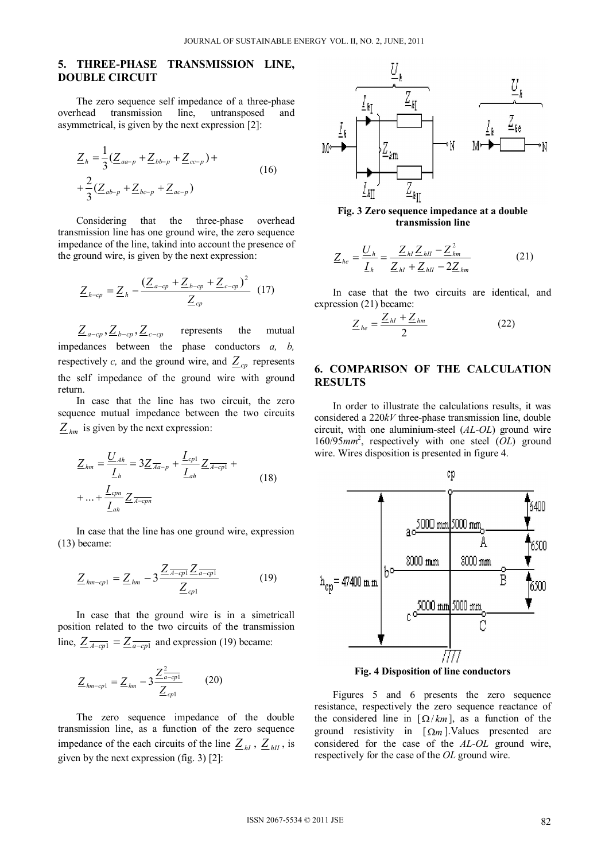## **5. THREE-PHASE TRANSMISSION LINE, DOUBLE CIRCUIT**

The zero sequence self impedance of a three-phase overhead transmission line, untransposed and asymmetrical, is given by the next expression [2]:

$$
\underline{Z}_{h} = \frac{1}{3} (\underline{Z}_{aa-p} + \underline{Z}_{bb-p} + \underline{Z}_{cc-p}) +
$$
  
+ 
$$
\frac{2}{3} (\underline{Z}_{ab-p} + \underline{Z}_{bc-p} + \underline{Z}_{ac-p})
$$
 (16)

Considering that the three-phase overhead transmission line has one ground wire, the zero sequence impedance of the line, takind into account the presence of the ground wire, is given by the next expression:

$$
\underline{Z}_{h-cp} = \underline{Z}_h - \frac{(\underline{Z}_{a-cp} + \underline{Z}_{b-cp} + \underline{Z}_{c-cp})^2}{\underline{Z}_{cp}} \tag{17}
$$

 $Z_{a-cp}, Z_{b-cp}, Z_{c-cp}$  represents the mutual impedances between the phase conductors *a, b,* respectively *c*, and the ground wire, and  $Z_{cp}$  represents the self impedance of the ground wire with ground return.

In case that the line has two circuit, the zero sequence mutual impedance between the two circuits  $Z_{hm}$  is given by the next expression:

$$
\underline{Z}_{hm} = \frac{\underline{U}_{Ah}}{\underline{L}_h} = 3\underline{Z}_{\overline{A}a-p} + \frac{\underline{L}_{cp1}}{\underline{L}_{ah}} \underline{Z}_{\overline{A-cp1}} + \dots + \frac{\underline{L}_{cpn}}{\underline{L}_{ah}} \underline{Z}_{\overline{A-cp}}
$$
\n(18)

In case that the line has one ground wire, expression (13) became:

$$
\underline{Z}_{hm-cp1} = \underline{Z}_{hm} - 3 \frac{\underline{Z}_{\overline{A-cp1}} \underline{Z}_{a-cp1}}{\underline{Z}_{cp1}} \tag{19}
$$

In case that the ground wire is in a simetricall position related to the two circuits of the transmission line,  $Z_{\overline{A-cp1}} = Z_{\overline{a-cp1}}$  and expression (19) became:

$$
\underline{Z}_{hm-cp1} = \underline{Z}_{hm} - 3 \frac{\underline{Z}_{a-cp1}^2}{\underline{Z}_{cp1}} \qquad (20)
$$

The zero sequence impedance of the double transmission line, as a function of the zero sequence impedance of the each circuits of the line  $Z_{hl}$ ,  $Z_{hII}$ , is given by the next expression (fig. 3) [2]:



**Fig. 3 Zero sequence impedance at a double transmission line**

$$
\underline{Z}_{he} = \frac{\underline{U}_h}{\underline{I}_h} = \frac{\underline{Z}_{hl}\underline{Z}_{hII} - \underline{Z}_{hm}^2}{\underline{Z}_{hl} + \underline{Z}_{hII} - 2\underline{Z}_{hm}}
$$
(21)

In case that the two circuits are identical, and expression (21) became:

$$
\underline{Z}_{he} = \frac{\underline{Z}_{hl} + \underline{Z}_{hm}}{2} \tag{22}
$$

## **6. COMPARISON OF THE CALCULATION RESULTS**

In order to illustrate the calculations results, it was considered a 220*kV* three-phase transmission line, double circuit, with one aluminium-steel (*AL-OL*) ground wire 160/95*mm*<sup>2</sup> , respectively with one steel (*OL*) ground wire. Wires disposition is presented in figure 4.



Figures 5 and 6 presents the zero sequence resistance, respectively the zero sequence reactance of the considered line in  $[\Omega/km]$ , as a function of the ground resistivity in  $\lceil \Omega_m \rceil$ . Values presented are considered for the case of the *AL-OL* ground wire, respectively for the case of the *OL* ground wire.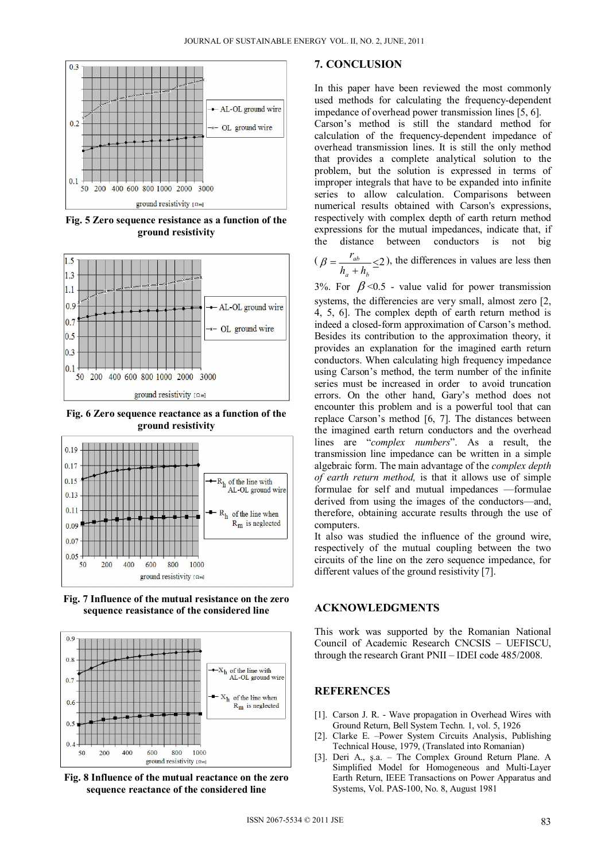

**Fig. 5 Zero sequence resistance as a function of the ground resistivity** 



**Fig. 6 Zero sequence reactance as a function of the ground resistivity** 







**Fig. 8 Influence of the mutual reactance on the zero sequence reactance of the considered line** 

#### **7. CONCLUSION**

In this paper have been reviewed the most commonly used methods for calculating the frequency-dependent impedance of overhead power transmission lines [5, 6]. Carson's method is still the standard method for calculation of the frequency-dependent impedance of overhead transmission lines. It is still the only method that provides a complete analytical solution to the problem, but the solution is expressed in terms of improper integrals that have to be expanded into infinite series to allow calculation. Comparisons between numerical results obtained with Carson's expressions, respectively with complex depth of earth return method expressions for the mutual impedances, indicate that, if the distance between conductors is not big

 $(\beta = \frac{r_{ab}}{h_a + h_b} \leq 2)$ *ab*  $h_a + h$  $\beta = \frac{r_{ab}}{1} \leq 2$ ), the differences in values are less then

3%. For  $\beta$  <0.5 - value valid for power transmission systems, the differencies are very small, almost zero [2, 4, 5, 6]. The complex depth of earth return method is indeed a closed-form approximation of Carson's method. Besides its contribution to the approximation theory, it provides an explanation for the imagined earth return conductors. When calculating high frequency impedance using Carson's method, the term number of the infinite series must be increased in order to avoid truncation errors. On the other hand, Gary's method does not encounter this problem and is a powerful tool that can replace Carson's method [6, 7]. The distances between the imagined earth return conductors and the overhead lines are "*complex numbers*". As a result, the transmission line impedance can be written in a simple algebraic form. The main advantage of the *complex depth of earth return method,* is that it allows use of simple formulae for self and mutual impedances —formulae derived from using the images of the conductors—and, therefore, obtaining accurate results through the use of computers.

It also was studied the influence of the ground wire, respectively of the mutual coupling between the two circuits of the line on the zero sequence impedance, for different values of the ground resistivity [7].

## **ACKNOWLEDGMENTS**

This work was supported by the Romanian National Council of Academic Research CNCSIS – UEFISCU, through the research Grant PNII – IDEI code 485/2008.

#### **REFERENCES**

- [1]. Carson J. R. Wave propagation in Overhead Wires with Ground Return, Bell System Techn. 1, vol. 5, 1926
- [2]. Clarke E. –Power System Circuits Analysis, Publishing Technical House, 1979, (Translated into Romanian)
- Deri A., ş.a. The Complex Ground Return Plane. A Simplified Model for Homogeneous and Multi-Layer Earth Return, IEEE Transactions on Power Apparatus and Systems, Vol. PAS-100, No. 8, August 1981